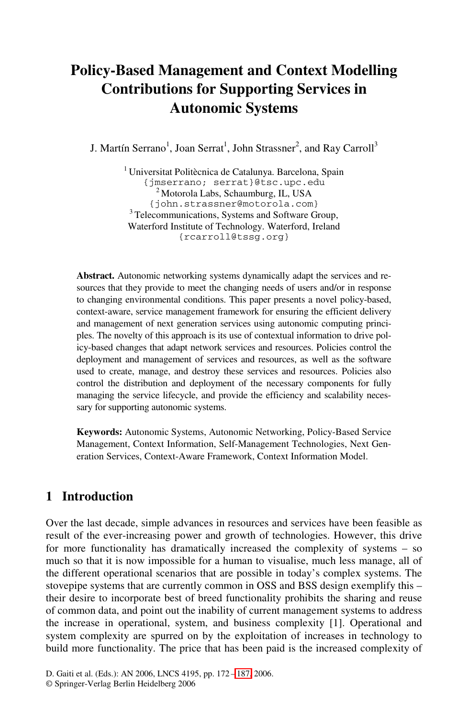# **Policy-Based Management and Context Modelling Contributions for Supporting Services in Autonomic Systems**

J. Martín Serrano<sup>1</sup>, Joan Serrat<sup>1</sup>, John Strassner<sup>2</sup>, and Ray Carroll<sup>3</sup>

<sup>1</sup> Universitat Politècnica de Catalunya, Barcelona, Spain {jmserrano; serrat}@tsc.upc.edu <sup>2</sup> Motorola Labs, Schaumburg, IL, USA {john.strassner@motorola.com} <sup>3</sup> Telecommunications, Systems and Software Group, Waterford Institute of Technology. Waterford, Ireland {rcarroll@tssg.org}

**Abstract.** Autonomic networking systems dynamically adapt the services and resources that they provide to meet the changing needs of users and/or in response to changing environmental conditions. This paper presents a novel policy-based, context-aware, service management framework for ensuring the efficient delivery and management of next generation services using autonomic computing principles. The novelty of this approach is its use of contextual information to drive policy-based changes that adapt network services and resources. Policies control the deployment and management of services and resources, as well as the software used to create, manage, and destroy these services and resources. Policies also control the distribution and deployment of the necessary components for fully managing the service lifecycle, and provide the efficiency and scalability necessary for supporting autonomic systems.

**Keywords:** Autonomic Systems, Autonomic Networking, Policy-Based Service Management, Context Information, Self-Management Technologies, Next Generation Services, Context-Aware Framework, Context Information Model.

## **1 Introduction**

Over the last decade, simple advances in resources and services have been feasible as result of the ever-increasing power and growth of technologies. However, this drive for more functionality has dramatically increased the complexity of systems – so much so that it is now impossible for a human to visualise, much less manage, all of the different operation[al sc](#page-15-0)enarios that are possible in today's complex systems. The stovepipe systems that are currently common in OSS and BSS design exemplify this – their desire to incorporate best of breed functionality prohibits the sharing and reuse of common data, and point out the inability of current management systems to address the increase in operational, system, and business complexity [1]. Operational and system complexity are spurred on by the exploitation of increases in technology to build more functionality. The price that has been paid is the increased complexity of

D. Gaiti et al. (Eds.): AN 2006, LNCS 4195, pp. 172 – 187, 2006.

<sup>©</sup> Springer-Verlag Berlin Heidelberg 2006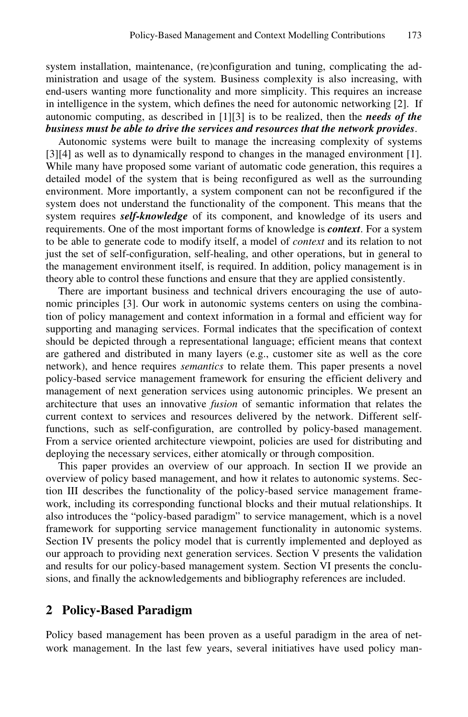system installation, maintenance, (re)configuration and tuning, complicating the administration and usage of the system. Business complexity is also increasing, with end-users wanting more functionality and more simplicity. This requires an increase in intelligence in the system, which defines the need for autonomic networking [2]. If autonomic computing, as described in [1][3] is to be realized, then the *needs of the business must be able to drive the services and resources that the network provides*.

Autonomic systems were built to manage the increasing complexity of systems [3][4] as well as to dynamically respond to changes in the managed environment [1]. While many have proposed some variant of automatic code generation, this requires a detailed model of the system that is being reconfigured as well as the surrounding environment. More importantly, a system component can not be reconfigured if the system does not understand the functionality of the component. This means that the system requires *self-knowledge* of its component, and knowledge of its users and requirements. One of the most important forms of knowledge is *context*. For a system to be able to generate code to modify itself, a model of *context* and its relation to not just the set of self-configuration, self-healing, and other operations, but in general to the management environment itself, is required. In addition, policy management is in theory able to control these functions and ensure that they are applied consistently.

There are important business and technical drivers encouraging the use of autonomic principles [3]. Our work in autonomic systems centers on using the combination of policy management and context information in a formal and efficient way for supporting and managing services. Formal indicates that the specification of context should be depicted through a representational language; efficient means that context are gathered and distributed in many layers (e.g., customer site as well as the core network), and hence requires *semantics* to relate them. This paper presents a novel policy-based service management framework for ensuring the efficient delivery and management of next generation services using autonomic principles. We present an architecture that uses an innovative *fusion* of semantic information that relates the current context to services and resources delivered by the network. Different selffunctions, such as self-configuration, are controlled by policy-based management. From a service oriented architecture viewpoint, policies are used for distributing and deploying the necessary services, either atomically or through composition.

This paper provides an overview of our approach. In section II we provide an overview of policy based management, and how it relates to autonomic systems. Section III describes the functionality of the policy-based service management framework, including its corresponding functional blocks and their mutual relationships. It also introduces the "policy-based paradigm" to service management, which is a novel framework for supporting service management functionality in autonomic systems. Section IV presents the policy model that is currently implemented and deployed as our approach to providing next generation services. Section V presents the validation and results for our policy-based management system. Section VI presents the conclusions, and finally the acknowledgements and bibliography references are included.

## **2 Policy-Based Paradigm**

Policy based management has been proven as a useful paradigm in the area of network management. In the last few years, several initiatives have used policy man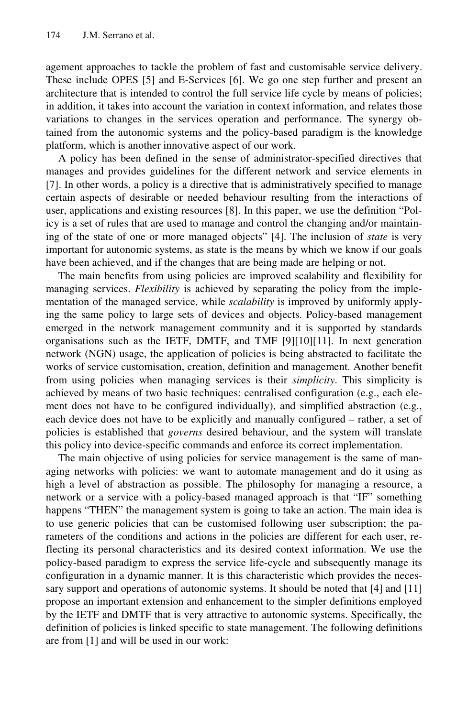agement approaches to tackle the problem of fast and customisable service delivery. These include OPES [5] and E-Services [6]. We go one step further and present an architecture that is intended to control the full service life cycle by means of policies; in addition, it takes into account the variation in context information, and relates those variations to changes in the services operation and performance. The synergy obtained from the autonomic systems and the policy-based paradigm is the knowledge platform, which is another innovative aspect of our work.

A policy has been defined in the sense of administrator-specified directives that manages and provides guidelines for the different network and service elements in [7]. In other words, a policy is a directive that is administratively specified to manage certain aspects of desirable or needed behaviour resulting from the interactions of user, applications and existing resources [8]. In this paper, we use the definition "Policy is a set of rules that are used to manage and control the changing and/or maintaining of the state of one or more managed objects" [4]. The inclusion of *state* is very important for autonomic systems, as state is the means by which we know if our goals have been achieved, and if the changes that are being made are helping or not.

The main benefits from using policies are improved scalability and flexibility for managing services. *Flexibility* is achieved by separating the policy from the implementation of the managed service, while *scalability* is improved by uniformly applying the same policy to large sets of devices and objects. Policy-based management emerged in the network management community and it is supported by standards organisations such as the IETF, DMTF, and TMF [9][10][11]. In next generation network (NGN) usage, the application of policies is being abstracted to facilitate the works of service customisation, creation, definition and management. Another benefit from using policies when managing services is their *simplicity*. This simplicity is achieved by means of two basic techniques: centralised configuration (e.g., each element does not have to be configured individually), and simplified abstraction (e.g., each device does not have to be explicitly and manually configured – rather, a set of policies is established that *governs* desired behaviour, and the system will translate this policy into device-specific commands and enforce its correct implementation.

The main objective of using policies for service management is the same of managing networks with policies: we want to automate management and do it using as high a level of abstraction as possible. The philosophy for managing a resource, a network or a service with a policy-based managed approach is that "IF" something happens "THEN" the management system is going to take an action. The main idea is to use generic policies that can be customised following user subscription; the parameters of the conditions and actions in the policies are different for each user, reflecting its personal characteristics and its desired context information. We use the policy-based paradigm to express the service life-cycle and subsequently manage its configuration in a dynamic manner. It is this characteristic which provides the necessary support and operations of autonomic systems. It should be noted that [4] and [11] propose an important extension and enhancement to the simpler definitions employed by the IETF and DMTF that is very attractive to autonomic systems. Specifically, the definition of policies is linked specific to state management. The following definitions are from [1] and will be used in our work: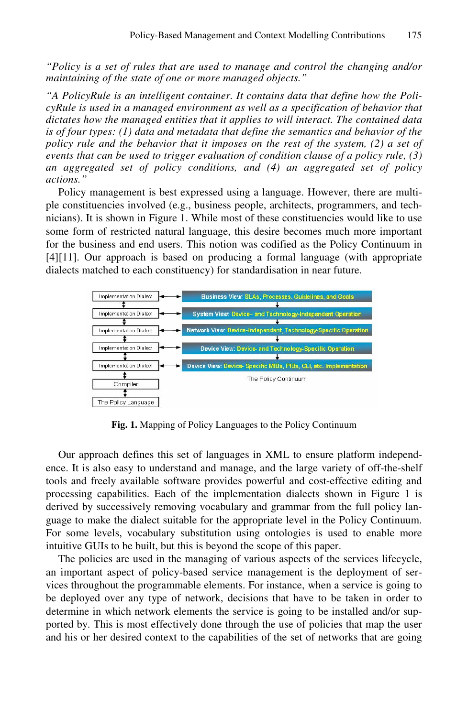*"Policy is a set of rules that are used to manage and control the changing and/or maintaining of the state of one or more managed objects."* 

*"A PolicyRule is an intelligent container. It contains data that define how the PolicyRule is used in a managed environment as well as a specification of behavior that dictates how the managed entities that it applies to will interact. The contained data is of four types: (1) data and metadata that define the semantics and behavior of the policy rule and the behavior that it imposes on the rest of the system, (2) a set of events that can be used to trigger evaluation of condition clause of a policy rule, (3) an aggregated set of policy conditions, and (4) an aggregated set of policy actions."* 

Policy management is best expressed using a language. However, there are multiple constituencies involved (e.g., business people, architects, programmers, and technicians). It is shown in Figure 1. While most of these constituencies would like to use some form of restricted natural language, this desire becomes much more important for the business and end users. This notion was codified as the Policy Continuum in [4][11]. Our approach is based on producing a formal language (with appropriate dialects matched to each constituency) for standardisation in near future.



**Fig. 1.** Mapping of Policy Languages to the Policy Continuum

Our approach defines this set of languages in XML to ensure platform independence. It is also easy to understand and manage, and the large variety of off-the-shelf tools and freely available software provides powerful and cost-effective editing and processing capabilities. Each of the implementation dialects shown in Figure 1 is derived by successively removing vocabulary and grammar from the full policy language to make the dialect suitable for the appropriate level in the Policy Continuum. For some levels, vocabulary substitution using ontologies is used to enable more intuitive GUIs to be built, but this is beyond the scope of this paper.

The policies are used in the managing of various aspects of the services lifecycle, an important aspect of policy-based service management is the deployment of services throughout the programmable elements. For instance, when a service is going to be deployed over any type of network, decisions that have to be taken in order to determine in which network elements the service is going to be installed and/or supported by. This is most effectively done through the use of policies that map the user and his or her desired context to the capabilities of the set of networks that are going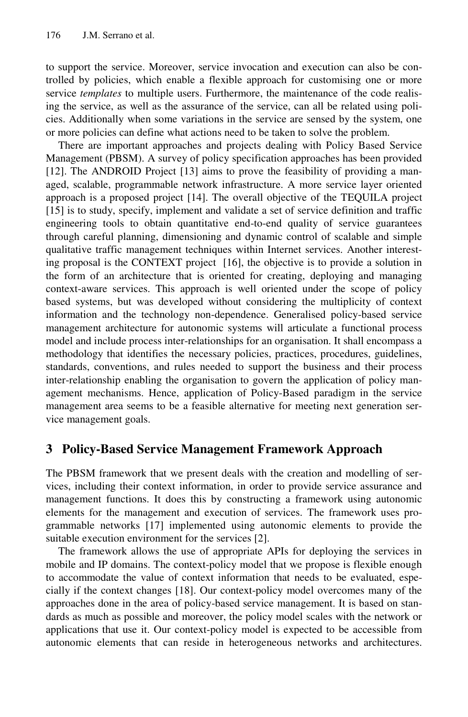to support the service. Moreover, service invocation and execution can also be controlled by policies, which enable a flexible approach for customising one or more service *templates* to multiple users. Furthermore, the maintenance of the code realising the service, as well as the assurance of the service, can all be related using policies. Additionally when some variations in the service are sensed by the system, one or more policies can define what actions need to be taken to solve the problem.

There are important approaches and projects dealing with Policy Based Service Management (PBSM). A survey of policy specification approaches has been provided [12]. The ANDROID Project [13] aims to prove the feasibility of providing a managed, scalable, programmable network infrastructure. A more service layer oriented approach is a proposed project [14]. The overall objective of the TEQUILA project [15] is to study, specify, implement and validate a set of service definition and traffic engineering tools to obtain quantitative end-to-end quality of service guarantees through careful planning, dimensioning and dynamic control of scalable and simple qualitative traffic management techniques within Internet services. Another interesting proposal is the CONTEXT project [16], the objective is to provide a solution in the form of an architecture that is oriented for creating, deploying and managing context-aware services. This approach is well oriented under the scope of policy based systems, but was developed without considering the multiplicity of context information and the technology non-dependence. Generalised policy-based service management architecture for autonomic systems will articulate a functional process model and include process inter-relationships for an organisation. It shall encompass a methodology that identifies the necessary policies, practices, procedures, guidelines, standards, conventions, and rules needed to support the business and their process inter-relationship enabling the organisation to govern the application of policy management mechanisms. Hence, application of Policy-Based paradigm in the service management area seems to be a feasible alternative for meeting next generation service management goals.

## **3 Policy-Based Service Management Framework Approach**

The PBSM framework that we present deals with the creation and modelling of services, including their context information, in order to provide service assurance and management functions. It does this by constructing a framework using autonomic elements for the management and execution of services. The framework uses programmable networks [17] implemented using autonomic elements to provide the suitable execution environment for the services [2].

The framework allows the use of appropriate APIs for deploying the services in mobile and IP domains. The context-policy model that we propose is flexible enough to accommodate the value of context information that needs to be evaluated, especially if the context changes [18]. Our context-policy model overcomes many of the approaches done in the area of policy-based service management. It is based on standards as much as possible and moreover, the policy model scales with the network or applications that use it. Our context-policy model is expected to be accessible from autonomic elements that can reside in heterogeneous networks and architectures.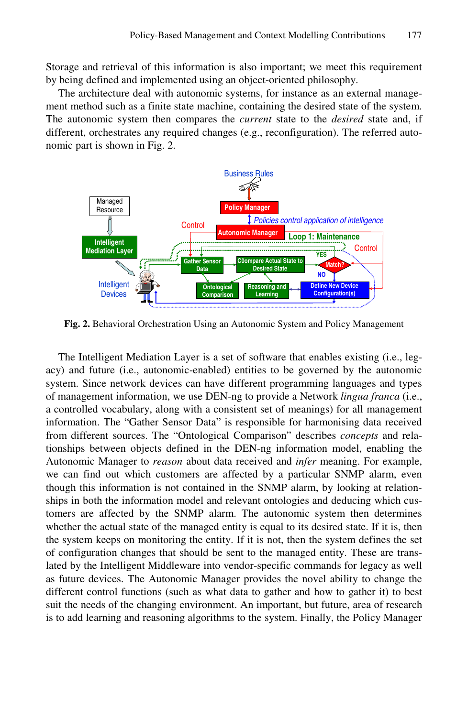Storage and retrieval of this information is also important; we meet this requirement by being defined and implemented using an object-oriented philosophy.

The architecture deal with autonomic systems, for instance as an external management method such as a finite state machine, containing the desired state of the system. The autonomic system then compares the *current* state to the *desired* state and, if different, orchestrates any required changes (e.g., reconfiguration). The referred autonomic part is shown in Fig. 2.



**Fig. 2.** Behavioral Orchestration Using an Autonomic System and Policy Management

The Intelligent Mediation Layer is a set of software that enables existing (i.e., legacy) and future (i.e., autonomic-enabled) entities to be governed by the autonomic system. Since network devices can have different programming languages and types of management information, we use DEN-ng to provide a Network *lingua franca* (i.e., a controlled vocabulary, along with a consistent set of meanings) for all management information. The "Gather Sensor Data" is responsible for harmonising data received from different sources. The "Ontological Comparison" describes *concepts* and relationships between objects defined in the DEN-ng information model, enabling the Autonomic Manager to *reason* about data received and *infer* meaning. For example, we can find out which customers are affected by a particular SNMP alarm, even though this information is not contained in the SNMP alarm, by looking at relationships in both the information model and relevant ontologies and deducing which customers are affected by the SNMP alarm. The autonomic system then determines whether the actual state of the managed entity is equal to its desired state. If it is, then the system keeps on monitoring the entity. If it is not, then the system defines the set of configuration changes that should be sent to the managed entity. These are translated by the Intelligent Middleware into vendor-specific commands for legacy as well as future devices. The Autonomic Manager provides the novel ability to change the different control functions (such as what data to gather and how to gather it) to best suit the needs of the changing environment. An important, but future, area of research is to add learning and reasoning algorithms to the system. Finally, the Policy Manager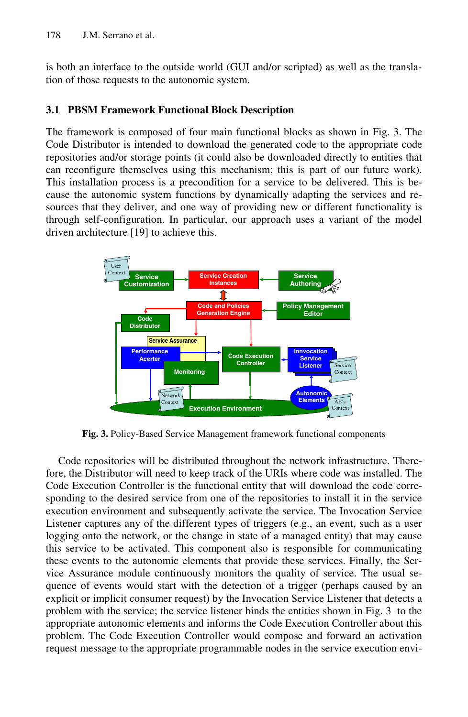is both an interface to the outside world (GUI and/or scripted) as well as the translation of those requests to the autonomic system.

## **3.1 PBSM Framework Functional Block Description**

The framework is composed of four main functional blocks as shown in Fig. 3. The Code Distributor is intended to download the generated code to the appropriate code repositories and/or storage points (it could also be downloaded directly to entities that can reconfigure themselves using this mechanism; this is part of our future work). This installation process is a precondition for a service to be delivered. This is because the autonomic system functions by dynamically adapting the services and resources that they deliver, and one way of providing new or different functionality is through self-configuration. In particular, our approach uses a variant of the model driven architecture [19] to achieve this.



**Fig. 3.** Policy-Based Service Management framework functional components

Code repositories will be distributed throughout the network infrastructure. Therefore, the Distributor will need to keep track of the URIs where code was installed. The Code Execution Controller is the functional entity that will download the code corresponding to the desired service from one of the repositories to install it in the service execution environment and subsequently activate the service. The Invocation Service Listener captures any of the different types of triggers (e.g., an event, such as a user logging onto the network, or the change in state of a managed entity) that may cause this service to be activated. This component also is responsible for communicating these events to the autonomic elements that provide these services. Finally, the Service Assurance module continuously monitors the quality of service. The usual sequence of events would start with the detection of a trigger (perhaps caused by an explicit or implicit consumer request) by the Invocation Service Listener that detects a problem with the service; the service listener binds the entities shown in Fig. 3 to the appropriate autonomic elements and informs the Code Execution Controller about this problem. The Code Execution Controller would compose and forward an activation request message to the appropriate programmable nodes in the service execution envi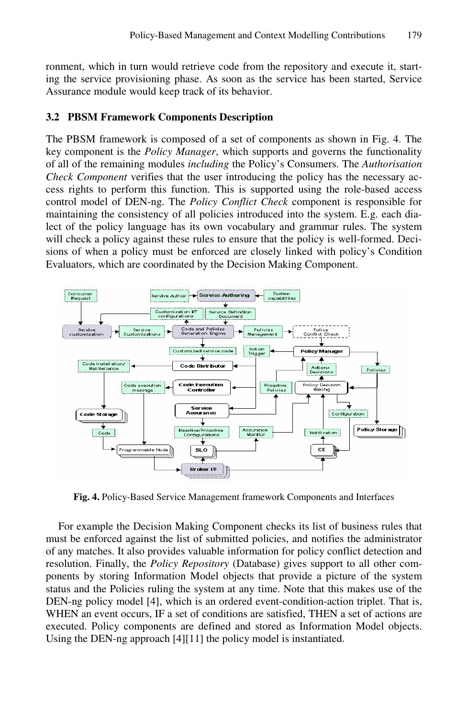ronment, which in turn would retrieve code from the repository and execute it, starting the service provisioning phase. As soon as the service has been started, Service Assurance module would keep track of its behavior.

#### **3.2 PBSM Framework Components Description**

The PBSM framework is composed of a set of components as shown in Fig. 4. The key component is the *Policy Manager*, which supports and governs the functionality of all of the remaining modules *including* the Policy's Consumers. The *Authorisation Check Component* verifies that the user introducing the policy has the necessary access rights to perform this function. This is supported using the role-based access control model of DEN-ng. The *Policy Conflict Check* component is responsible for maintaining the consistency of all policies introduced into the system. E.g. each dialect of the policy language has its own vocabulary and grammar rules. The system will check a policy against these rules to ensure that the policy is well-formed. Decisions of when a policy must be enforced are closely linked with policy's Condition Evaluators, which are coordinated by the Decision Making Component.



**Fig. 4.** Policy-Based Service Management framework Components and Interfaces

For example the Decision Making Component checks its list of business rules that must be enforced against the list of submitted policies, and notifies the administrator of any matches. It also provides valuable information for policy conflict detection and resolution. Finally, the *Policy Repository* (Database) gives support to all other components by storing Information Model objects that provide a picture of the system status and the Policies ruling the system at any time. Note that this makes use of the DEN-ng policy model [4], which is an ordered event-condition-action triplet. That is, WHEN an event occurs, IF a set of conditions are satisfied, THEN a set of actions are executed. Policy components are defined and stored as Information Model objects. Using the DEN-ng approach [4][11] the policy model is instantiated.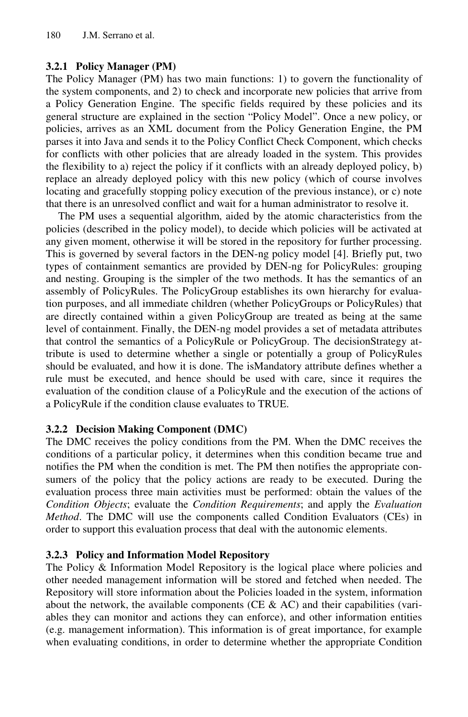#### **3.2.1 Policy Manager (PM)**

The Policy Manager (PM) has two main functions: 1) to govern the functionality of the system components, and 2) to check and incorporate new policies that arrive from a Policy Generation Engine. The specific fields required by these policies and its general structure are explained in the section "Policy Model". Once a new policy, or policies, arrives as an XML document from the Policy Generation Engine, the PM parses it into Java and sends it to the Policy Conflict Check Component, which checks for conflicts with other policies that are already loaded in the system. This provides the flexibility to a) reject the policy if it conflicts with an already deployed policy, b) replace an already deployed policy with this new policy (which of course involves locating and gracefully stopping policy execution of the previous instance), or c) note that there is an unresolved conflict and wait for a human administrator to resolve it.

The PM uses a sequential algorithm, aided by the atomic characteristics from the policies (described in the policy model), to decide which policies will be activated at any given moment, otherwise it will be stored in the repository for further processing. This is governed by several factors in the DEN-ng policy model [4]. Briefly put, two types of containment semantics are provided by DEN-ng for PolicyRules: grouping and nesting. Grouping is the simpler of the two methods. It has the semantics of an assembly of PolicyRules. The PolicyGroup establishes its own hierarchy for evaluation purposes, and all immediate children (whether PolicyGroups or PolicyRules) that are directly contained within a given PolicyGroup are treated as being at the same level of containment. Finally, the DEN-ng model provides a set of metadata attributes that control the semantics of a PolicyRule or PolicyGroup. The decisionStrategy attribute is used to determine whether a single or potentially a group of PolicyRules should be evaluated, and how it is done. The isMandatory attribute defines whether a rule must be executed, and hence should be used with care, since it requires the evaluation of the condition clause of a PolicyRule and the execution of the actions of a PolicyRule if the condition clause evaluates to TRUE.

## **3.2.2 Decision Making Component (DMC)**

The DMC receives the policy conditions from the PM. When the DMC receives the conditions of a particular policy, it determines when this condition became true and notifies the PM when the condition is met. The PM then notifies the appropriate consumers of the policy that the policy actions are ready to be executed. During the evaluation process three main activities must be performed: obtain the values of the *Condition Objects*; evaluate the *Condition Requirements*; and apply the *Evaluation Method*. The DMC will use the components called Condition Evaluators (CEs) in order to support this evaluation process that deal with the autonomic elements.

## **3.2.3 Policy and Information Model Repository**

The Policy & Information Model Repository is the logical place where policies and other needed management information will be stored and fetched when needed. The Repository will store information about the Policies loaded in the system, information about the network, the available components (CE  $\&$  AC) and their capabilities (variables they can monitor and actions they can enforce), and other information entities (e.g. management information). This information is of great importance, for example when evaluating conditions, in order to determine whether the appropriate Condition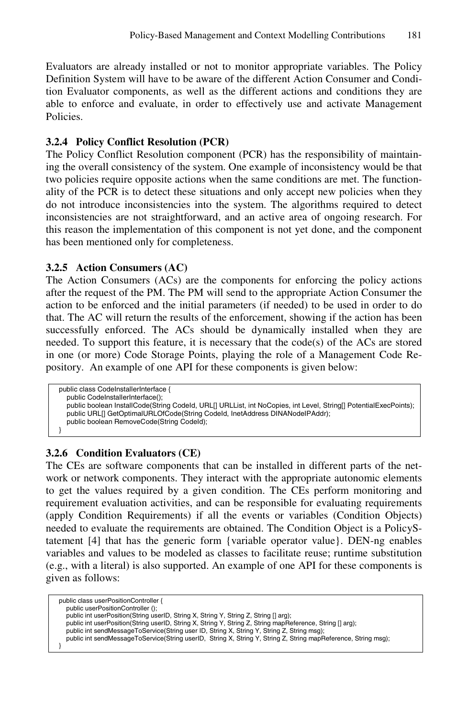Evaluators are already installed or not to monitor appropriate variables. The Policy Definition System will have to be aware of the different Action Consumer and Condition Evaluator components, as well as the different actions and conditions they are able to enforce and evaluate, in order to effectively use and activate Management Policies.

## **3.2.4 Policy Conflict Resolution (PCR)**

The Policy Conflict Resolution component (PCR) has the responsibility of maintaining the overall consistency of the system. One example of inconsistency would be that two policies require opposite actions when the same conditions are met. The functionality of the PCR is to detect these situations and only accept new policies when they do not introduce inconsistencies into the system. The algorithms required to detect inconsistencies are not straightforward, and an active area of ongoing research. For this reason the implementation of this component is not yet done, and the component has been mentioned only for completeness.

#### **3.2.5 Action Consumers (AC)**

The Action Consumers (ACs) are the components for enforcing the policy actions after the request of the PM. The PM will send to the appropriate Action Consumer the action to be enforced and the initial parameters (if needed) to be used in order to do that. The AC will return the results of the enforcement, showing if the action has been successfully enforced. The ACs should be dynamically installed when they are needed. To support this feature, it is necessary that the code(s) of the ACs are stored in one (or more) Code Storage Points, playing the role of a Management Code Repository. An example of one API for these components is given below:

 public class CodeInstallerInterface { public CodeInstallerInterface(); public boolean InstallCode(String CodeId, URL[] URLList, int NoCopies, int Level, String[] PotentialExecPoints); public URL[] GetOptimalURLOfCode(String CodeId, InetAddress DINANodeIPAddr); public boolean RemoveCode(String CodeId); }

## **3.2.6 Condition Evaluators (CE)**

The CEs are software components that can be installed in different parts of the network or network components. They interact with the appropriate autonomic elements to get the values required by a given condition. The CEs perform monitoring and requirement evaluation activities, and can be responsible for evaluating requirements (apply Condition Requirements) if all the events or variables (Condition Objects) needed to evaluate the requirements are obtained. The Condition Object is a PolicyStatement [4] that has the generic form {variable operator value}. DEN-ng enables variables and values to be modeled as classes to facilitate reuse; runtime substitution (e.g., with a literal) is also supported. An example of one API for these components is given as follows:

 public class userPositionController { public userPositionController (); public int userPosition(String userID, String X, String Y, String Z, String [] arg); public int userPosition(String userID, String X, String Y, String Z, String mapReference, String [] arg); public int sendMessageToService(String user ID, String X, String Y, String Z, String msg); public int sendMessageToService(String userID, String X, String Y, String Z, String mapReference, String msg); }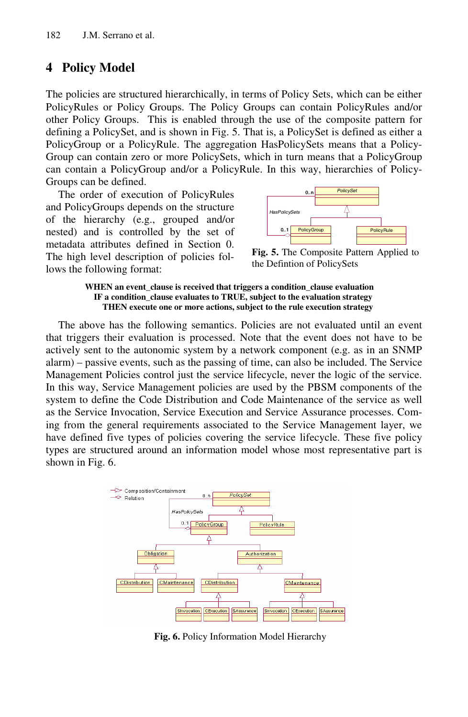## **4 Policy Model**

The policies are structured hierarchically, in terms of Policy Sets, which can be either PolicyRules or Policy Groups. The Policy Groups can contain PolicyRules and/or other Policy Groups. This is enabled through the use of the composite pattern for defining a PolicySet, and is shown in Fig. 5. That is, a PolicySet is defined as either a PolicyGroup or a PolicyRule. The aggregation HasPolicySets means that a Policy-Group can contain zero or more PolicySets, which in turn means that a PolicyGroup can contain a PolicyGroup and/or a PolicyRule. In this way, hierarchies of Policy-Groups can be defined.

The order of execution of PolicyRules and PolicyGroups depends on the structure of the hierarchy (e.g., grouped and/or nested) and is controlled by the set of metadata attributes defined in Section 0. The high level description of policies follows the following format:



**Fig. 5.** The Composite Pattern Applied to the Defintion of PolicySets

#### **WHEN an event\_clause is received that triggers a condition\_clause evaluation IF a condition\_clause evaluates to TRUE, subject to the evaluation strategy THEN execute one or more actions, subject to the rule execution strategy**

The above has the following semantics. Policies are not evaluated until an event that triggers their evaluation is processed. Note that the event does not have to be actively sent to the autonomic system by a network component (e.g. as in an SNMP alarm) – passive events, such as the passing of time, can also be included. The Service Management Policies control just the service lifecycle, never the logic of the service. In this way, Service Management policies are used by the PBSM components of the system to define the Code Distribution and Code Maintenance of the service as well as the Service Invocation, Service Execution and Service Assurance processes. Coming from the general requirements associated to the Service Management layer, we have defined five types of policies covering the service lifecycle. These five policy types are structured around an information model whose most representative part is shown in Fig. 6.



**Fig. 6.** Policy Information Model Hierarchy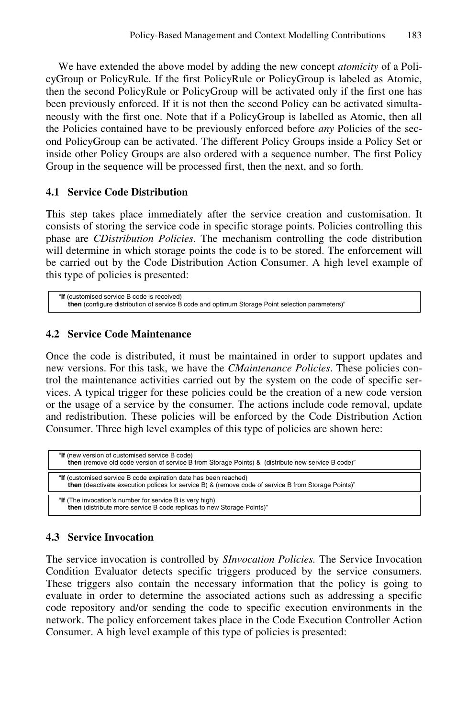We have extended the above model by adding the new concept *atomicity* of a PolicyGroup or PolicyRule. If the first PolicyRule or PolicyGroup is labeled as Atomic, then the second PolicyRule or PolicyGroup will be activated only if the first one has been previously enforced. If it is not then the second Policy can be activated simultaneously with the first one. Note that if a PolicyGroup is labelled as Atomic, then all the Policies contained have to be previously enforced before *any* Policies of the second PolicyGroup can be activated. The different Policy Groups inside a Policy Set or inside other Policy Groups are also ordered with a sequence number. The first Policy Group in the sequence will be processed first, then the next, and so forth.

## **4.1 Service Code Distribution**

This step takes place immediately after the service creation and customisation. It consists of storing the service code in specific storage points. Policies controlling this phase are *CDistribution Policies*. The mechanism controlling the code distribution will determine in which storage points the code is to be stored. The enforcement will be carried out by the Code Distribution Action Consumer. A high level example of this type of policies is presented:

"**If** (customised service B code is received) then (configure distribution of service B code and optimum Storage Point selection parameters)"

## **4.2 Service Code Maintenance**

Once the code is distributed, it must be maintained in order to support updates and new versions. For this task, we have the *CMaintenance Policies*. These policies control the maintenance activities carried out by the system on the code of specific services. A typical trigger for these policies could be the creation of a new code version or the usage of a service by the consumer. The actions include code removal, update and redistribution. These policies will be enforced by the Code Distribution Action Consumer. Three high level examples of this type of policies are shown here:

```
"If (new version of customised service B code) 
   then (remove old code version of service B from Storage Points) & (distribute new service B code)" 

"If (customised service B code expiration date has been reached) 
   then (deactivate execution polices for service B) & (remove code of service B from Storage Points)" 
"If (The invocation's number for service B is very high) 
   then (distribute more service B code replicas to new Storage Points)"
```
## **4.3 Service Invocation**

The service invocation is controlled by *SInvocation Policies.* The Service Invocation Condition Evaluator detects specific triggers produced by the service consumers. These triggers also contain the necessary information that the policy is going to evaluate in order to determine the associated actions such as addressing a specific code repository and/or sending the code to specific execution environments in the network. The policy enforcement takes place in the Code Execution Controller Action Consumer. A high level example of this type of policies is presented: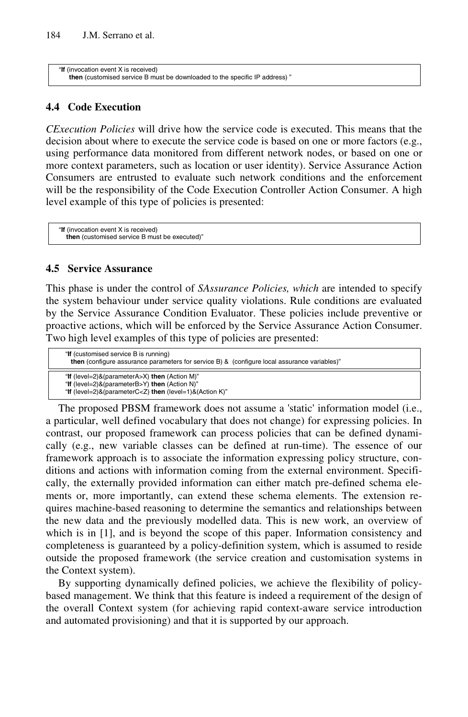```
"If (invocation event X is received) 
   then (customised service B must be downloaded to the specific IP address) "
```
## **4.4 Code Execution**

*CExecution Policies* will drive how the service code is executed. This means that the decision about where to execute the service code is based on one or more factors (e.g., using performance data monitored from different network nodes, or based on one or more context parameters, such as location or user identity). Service Assurance Action Consumers are entrusted to evaluate such network conditions and the enforcement will be the responsibility of the Code Execution Controller Action Consumer. A high level example of this type of policies is presented:

"**If** (invocation event X is received) **then** (customised service B must be executed)"

#### **4.5 Service Assurance**

This phase is under the control of *SAssurance Policies, which* are intended to specify the system behaviour under service quality violations. Rule conditions are evaluated by the Service Assurance Condition Evaluator. These policies include preventive or proactive actions, which will be enforced by the Service Assurance Action Consumer. Two high level examples of this type of policies are presented:

```
"If (customised service B is running) 
  then (configure assurance parameters for service B) & (configure local assurance variables)" 
"If (level=2)&(parameterA>X) then (Action M)" 
"If (level=2)&(parameterB>Y) then (Action N)" 
"If (level=2)&(parameterC<Z) then (level=1)&(Action K)"
```
The proposed PBSM framework does not assume a 'static' information model (i.e., a particular, well defined vocabulary that does not change) for expressing policies. In contrast, our proposed framework can process policies that can be defined dynamically (e.g., new variable classes can be defined at run-time). The essence of our framework approach is to associate the information expressing policy structure, conditions and actions with information coming from the external environment. Specifically, the externally provided information can either match pre-defined schema elements or, more importantly, can extend these schema elements. The extension requires machine-based reasoning to determine the semantics and relationships between the new data and the previously modelled data. This is new work, an overview of which is in [1], and is beyond the scope of this paper. Information consistency and completeness is guaranteed by a policy-definition system, which is assumed to reside outside the proposed framework (the service creation and customisation systems in the Context system).

By supporting dynamically defined policies, we achieve the flexibility of policybased management. We think that this feature is indeed a requirement of the design of the overall Context system (for achieving rapid context-aware service introduction and automated provisioning) and that it is supported by our approach.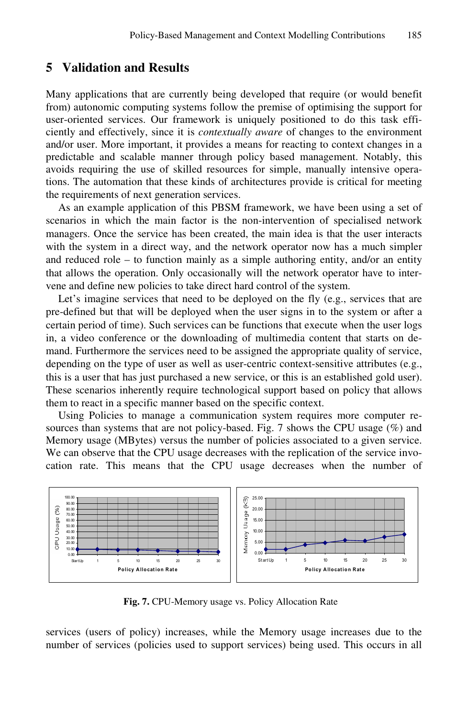## **5 Validation and Results**

Many applications that are currently being developed that require (or would benefit from) autonomic computing systems follow the premise of optimising the support for user-oriented services. Our framework is uniquely positioned to do this task efficiently and effectively, since it is *contextually aware* of changes to the environment and/or user. More important, it provides a means for reacting to context changes in a predictable and scalable manner through policy based management. Notably, this avoids requiring the use of skilled resources for simple, manually intensive operations. The automation that these kinds of architectures provide is critical for meeting the requirements of next generation services.

As an example application of this PBSM framework, we have been using a set of scenarios in which the main factor is the non-intervention of specialised network managers. Once the service has been created, the main idea is that the user interacts with the system in a direct way, and the network operator now has a much simpler and reduced role – to function mainly as a simple authoring entity, and/or an entity that allows the operation. Only occasionally will the network operator have to intervene and define new policies to take direct hard control of the system.

Let's imagine services that need to be deployed on the fly (e.g., services that are pre-defined but that will be deployed when the user signs in to the system or after a certain period of time). Such services can be functions that execute when the user logs in, a video conference or the downloading of multimedia content that starts on demand. Furthermore the services need to be assigned the appropriate quality of service, depending on the type of user as well as user-centric context-sensitive attributes (e.g., this is a user that has just purchased a new service, or this is an established gold user). These scenarios inherently require technological support based on policy that allows them to react in a specific manner based on the specific context.

Using Policies to manage a communication system requires more computer resources than systems that are not policy-based. Fig. 7 shows the CPU usage  $(\%)$  and Memory usage (MBytes) versus the number of policies associated to a given service. We can observe that the CPU usage decreases with the replication of the service invocation rate. This means that the CPU usage decreases when the number of



**Fig. 7.** CPU-Memory usage vs. Policy Allocation Rate

services (users of policy) increases, while the Memory usage increases due to the number of services (policies used to support services) being used. This occurs in all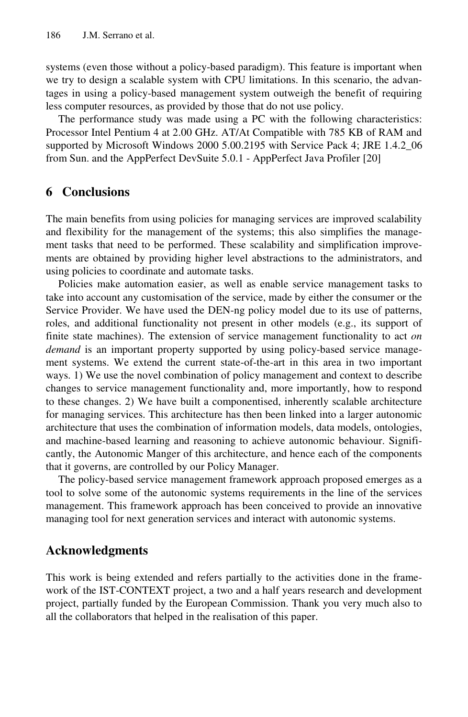systems (even those without a policy-based paradigm). This feature is important when we try to design a scalable system with CPU limitations. In this scenario, the advantages in using a policy-based management system outweigh the benefit of requiring less computer resources, as provided by those that do not use policy.

The performance study was made using a PC with the following characteristics: Processor Intel Pentium 4 at 2.00 GHz. AT/At Compatible with 785 KB of RAM and supported by Microsoft Windows 2000 5.00.2195 with Service Pack 4; JRE 1.4.2\_06 from Sun. and the AppPerfect DevSuite 5.0.1 - AppPerfect Java Profiler [20]

## **6 Conclusions**

The main benefits from using policies for managing services are improved scalability and flexibility for the management of the systems; this also simplifies the management tasks that need to be performed. These scalability and simplification improvements are obtained by providing higher level abstractions to the administrators, and using policies to coordinate and automate tasks.

Policies make automation easier, as well as enable service management tasks to take into account any customisation of the service, made by either the consumer or the Service Provider. We have used the DEN-ng policy model due to its use of patterns, roles, and additional functionality not present in other models (e.g., its support of finite state machines). The extension of service management functionality to act *on demand* is an important property supported by using policy-based service management systems. We extend the current state-of-the-art in this area in two important ways. 1) We use the novel combination of policy management and context to describe changes to service management functionality and, more importantly, how to respond to these changes. 2) We have built a componentised, inherently scalable architecture for managing services. This architecture has then been linked into a larger autonomic architecture that uses the combination of information models, data models, ontologies, and machine-based learning and reasoning to achieve autonomic behaviour. Significantly, the Autonomic Manger of this architecture, and hence each of the components that it governs, are controlled by our Policy Manager.

The policy-based service management framework approach proposed emerges as a tool to solve some of the autonomic systems requirements in the line of the services management. This framework approach has been conceived to provide an innovative managing tool for next generation services and interact with autonomic systems.

## **Acknowledgments**

This work is being extended and refers partially to the activities done in the framework of the IST-CONTEXT project, a two and a half years research and development project, partially funded by the European Commission. Thank you very much also to all the collaborators that helped in the realisation of this paper.